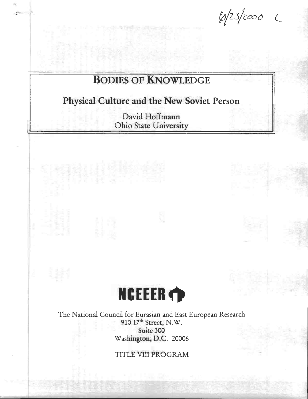6/23/2000 L

# BODIES OF KNOWLEDGE

## Physical Culture and the New Soviet Person

David Hoffmann Ohio State University



The National Council for Eurasian and East European Research 910 17<sup>th</sup> Street, N.W. Suite 300 Washington, D.C. 20006

TITLE VIII PROGRAM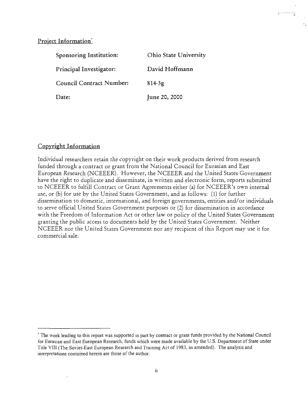### Project**Information**-

| Sponsoring Institution:         | Ohio State University |
|---------------------------------|-----------------------|
| Principal Investigator:         | David Hoffmann        |
| <b>Council Contract Number:</b> | $814 - 3g$            |
| Date:                           | June 20, 2000         |

## **Copyright Information**

Individual researchers retain the copyright on their work products derived from research funded through a contract or grant from the National Council for Eurasian and East European Research (NCEEER) . However, the NCEEER and the United States Government have the right to duplicate and disseminate, in written and electronic form, reports submitted to NCEEER to fulfill Contract or Grant Agreements either (a) for NCEEER 's own internal use, or (b) for use by the United States Government, and as follows: (1) for further dissemination to domestic, international, and foreign governments, entities and/or individuals to serve official United States Government purposes or (2) for dissemination in accordance with the Freedom of Information Act or other law or policy of the United States Government granting the public access to documents held by the United States Government . Neither NCEEER nor the United States Government nor any recipient of this Report may use it for commercial sale.

The work leading to this report was supported in part by contract or grant funds provided by the National Council for Eurasian and East European Research, funds which were made available by the U .S. Department of State under Title VIII (The Soviet-East European Research and Training Act of 1983, as amended) . The analysis and interpretations contained herein are those of the author.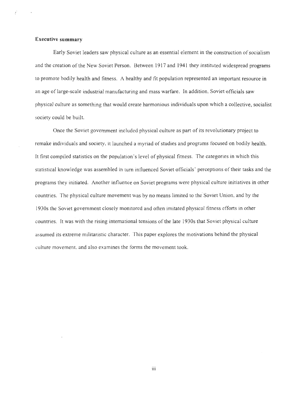#### **Executive summary**

Early Soviet leaders saw physical culture as an essential element in the construction of socialism and the creation of the New Soviet Person. Between 1917 and 1941 they instituted widespread programs to promote bodily health and fitness. A healthy and fit population represented an important resource in an age of large-scale industrial manufacturing and mass warfare. In addition, Soviet officials saw physical culture as something that would create harmonious individuals upon which a collective, socialist society could be built.

Once the Soviet government included physical culture as part of its revolutionary project to remake individuals and society, it launched a myriad of studies and programs focused on bodily health. It first compiled statistics on the population's level of physical fitness . The categories in which this statistical knowledge was assembled in turn influenced Soviet officials' perceptions of their tasks and the programs they initiated. Another influence on Soviet programs were physical culture initiatives in other countries. The physical culture movement was by no means limited to the Soviet Union, and by the 1930s the Soviet government closely monitored and often imitated physical fitness efforts in other countries. It was with the rising international tensions of the late 1930s that Soviet physical culture assumed its extreme militaristic character. This paper explores the motivations behind the physical culture movement, and also examines the forms the movement took .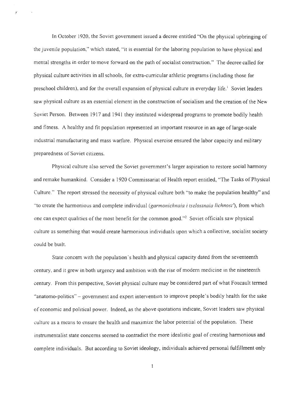In October 1920, the Soviet government issued a decree entitled "On the physical upbringing of the juvenile population," which stated, "it is essential for the laboring population to have physical and mental strengths in order to move forward on the path of socialist construction ." The decree called for physical culture activities in all schools, for extra-curricular athletic programs (including those for preschool children), and for the overall expansion of physical culture in everyday life.<sup>1</sup> Soviet leaders saw physical culture as an essential element in the construction of socialism and the creation of the New Soviet Person. Between 1917 and 1941 they instituted widespread programs to promote bodily health and fitness. A healthy and fit population represented an important resource in an age of large-scale industrial manufacturing and mass warfare. Physical exercise ensured the labor capacity and military preparedness of Soviet citizens .

Physical culture also served the Soviet government's larger aspiration to restore social harmony and remake humankind. Consider a 1920 Commissariat of Health report entitled, "The Tasks of Physical Culture." The report stressed the necessity of physical culture both "to make the population healthy" and "to create the harmonious and complete individual (garmonichnaia i tselostnaia lichnost'), from which one can expect qualities of the most benefit for the common good."<sup>2</sup> Soviet officials saw physical culture as something that would create harmonious individuals upon which a collective, socialist society could be built.

State concern with the population's health and physical capacity dated from the seventeenth century, and it grew in both urgency and ambition with the rise of modern medicine in the nineteenth century. From this perspective, Soviet physical culture may be considered part of what Foucault termed "anatomo-politics" – government and expert intervention to improve people's bodily health for the sake of economic and political power. Indeed, as the above quotations indicate, Soviet leaders saw physical culture as a means to ensure the health and maximize the labor potential of the population . These instrumentalist state concerns seemed to contradict the more idealistic goal of creating harmonious and complete individuals. But according to Soviet ideology, individuals achieved personal fulfillment only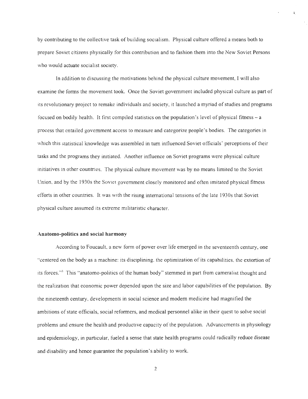by contributing to the collective task of building socialism . Physical culture offered a means both to prepare Soyiet citizens physically for this contribution and to fashion them into the New Soviet Persons who would actuate socialist society.

In addition to discussing the motivations behind the physical culture movement, I will also examine the forms the movement took. Once the Soviet government included physical culture as part of its revolutionary project to remake individuals and society, it launched a myriad of studies and programs focused on bodily health. It first compiled statistics on the population's level of physical fitness – a process that entailed government access to measure and categorize people's bodies . The categories in which this statistical knowledge was assembled in turn influenced Soviet officials' perceptions of their tasks and the programs they initiated. Another influence on Soviet programs were physical culture initiatives in other countries. The physical culture movement was by no means limited to the Soviet Union, and by the 1930s the Soviet government closely monitored and often imitated physical fitness efforts in other countries. It was with the rising international tensions of the late 1930s that Soviet physical culture assumed its extreme militaristic character.

#### Anatomo-politics and social harmony

According to Foucault, a new form of power over life emerged in the seventeenth century, one "centered on the body as a machine: its disciplining, the optimization of its capabilities, the extortion of its forces."<sup>3</sup> This "anatomo-politics of the human body" stemmed in part from cameralist thought and the realization that economic power depended upon the size and labor capabilities of the population. By the nineteenth century, developments in social science and modern medicine had magnified the ambitions of state officials, social reformers, and medical personnel alike in their quest to solve socia <sup>l</sup> problems and ensure the health and productive capacity of the population . Advancements in physiology and epidemiology, in particular, fueled a sense that state health programs could radically reduce disease and disability and hence guarantee the population's ability to work .

 $\overline{2}$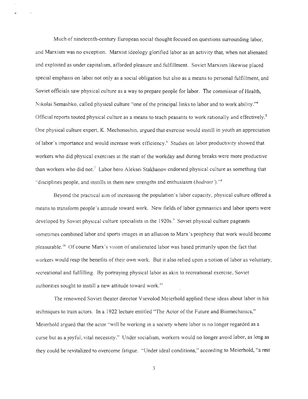Much of nineteenth-century European social thought focused on questions surrounding labor, and Marxism was no exception. Marxist ideology glorified labor as an activity that, when not alienated and exploited as under capitalism, afforded pleasure and fulfillment. Soviet Marxism likewise placed special emphasis on labor not only as a social obligation but also as a means to personal fulfillment, and Soviet officials saw physical culture as a way to prepare people for labor. The commissar of Health, Nikolai Semashko, called physical culture "one of the principal links to labor and to work ability."<sup>4</sup> Official reports touted physical culture as a means to teach peasants to work rationally and effectively. ' One physical culture expert, K . Mechonoshin, argued that exercise would instill in youth an appreciation of labor's importance and would increase work efficiency.<sup>6</sup> Studies on labor productivity showed that workers who did physical exercises at the start of the workday and during breaks were more productive than workers who did not.<sup>7</sup> Labor hero Aleksei Stakhanov endorsed physical culture as something that "disciplines people, and instills in them new strengths and enthusiasm ( *bodrost ') . "8*

Beyond the practical aim of increasing the population's labor capacity, physical culture offered a means to transform people's attitude toward work . New fields of labor gymnastics and labor sports were developed by Soviet physical culture specialists in the  $1920s<sup>9</sup>$  Soviet physical culture pageants sometimes combined labor and sports images in an allusion to Marx's prophesy that work would become pleasurable.<sup>10</sup> Of course Marx's vision of unalienated labor was based primarily upon the fact that workers would reap the benefits of their own work. But it also relied upon a notion of labor as voluntary, recreational and fulfilling. By portraying physical labor as akin to recreational exercise, Soviet authorities sought to instill a new attitude toward work. "

The renowned Soyiet theater director Vsevolod Meierhold applied these ideas about labor in his techniques to train actors. In a 1922 lecture entitled "The Actor of the Future and Biomechanics, " Meierhold argued that the actor "will be working in a society where labor is no longer regarded as a curse but as a joyful, vital necessity." Under socialism, workers would no longer avoid labor, as long as they could be revitalized to overcome fatigue . "Under ideal conditions," according to Meierhold, "a rest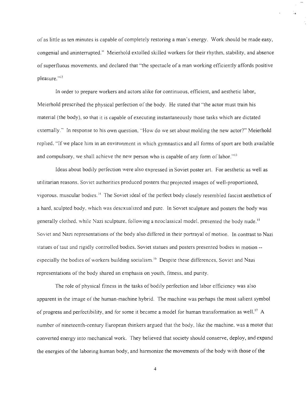of as little as ten minutes is capable of completely restoring a man's energy . Work should be made easy , congenial and uninterrupted." Meierhold extolled skilled workers for their rhythm, stability, and absence of superfluous movements, and declared that "the spectacle of a man working efficiently affords positiv e pleasure."<sup>12</sup>

In order to prepare workers and actors alike for continuous, efficient, and aesthetic labor, Meierhold prescribed the physical perfection of the body. He stated that "the actor must train his material (the body), so that it is capable of executing instantaneously those tasks which are dictated externally." In response to his own question, "How do we set about molding the new actor?" Meierhold replied, "If we place him in an environment in which gymnastics and all forms of sport are both available and compulsory, we shall achieve the new person who is capable of any form of labor."<sup>13</sup>

Ideas about bodily perfection were also expressed in Soviet poster art. For aesthetic as well as utilitarian reasons, Soviet authonities produced posters that projected images of well-proportioned, vigorous, muscular bodies.<sup>14</sup> The Soviet ideal of the perfect body closely resembled fascist aesthetics of a hard, sculpted body, which was desexualized and pure. In Soviet sculpture and posters the body was generally clothed, while Nazi sculpture, following a neoclassical model, presented the body nude.<sup>15</sup> Soviet and Nazi representations of the body also differed in their portrayal of motion. In contrast to Nazi statues of taut and rigidly controlled bodies. Soviet statues and posters presented bodies in motion - especially the bodies of workers building socialism.<sup>16</sup> Despite these differences, Soviet and Nazi representations of the body shared an emphasis on youth, fitness, and purity .

The role of physical fitness in the tasks of bodily perfection and labor efficiency was also apparent in the image of the human-machine hybrid. The machine was perhaps the most salient symbol of progress and perfectibility, and for some it became a model for human transformation as well.<sup>17</sup> A number of nineteenth-century European thinkers argued that the body, like the machine, was a motor that converted energy into mechanical work. They believed that society should conserve, deploy, and expand the energies of the laboring human body, and harmonize the movements of the body with those of the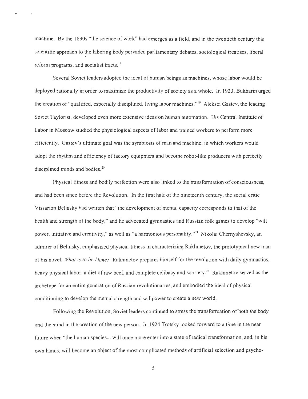machine. By the 1890s "the science of work" had emerged as a field, and in the twentieth century this scientific approach to the laboring body pervaded parliamentary debates, sociological treatises, liberal reform programs, and socialist tracts.<sup>18</sup>

Several Soyiet leaders adopted the ideal of human beings as machines, whose labor would be deployed rationally in order to maximize the productivity of society as a whole. In 1923, Bukharin urged the creation of "qualified, especially disciplined, living labor machines."<sup>19</sup> Aleksei Gastev, the leading Soviet Taylorist, developed even more extensive ideas on human automation. His Central Institute of Labor in Moscow studied the physiological aspects of labor and trained workers to perform more efficiently. Gastev's ultimate goal was the symbiosis of man and machine, in which workers would adopt the rhythm and efficiency of factory equipment and become robot-like producers with perfectly disciplined minds and bodies. $20$ 

Physical fitness and bodily perfection were also linked to the transformation of consciousness, and had been since before the Revolution. In the first half of the nineteenth century, the social critic Vissarion Belinsky had written that "the development of mental capacity corresponds to that of the health and strength of the body," and he advocated gymnastics and Russian folk games to develop "will power, initiative and creativity," as well as "a harmonious personality."<sup>21</sup> Nikolai Chernyshevsky, an admirer of Belinsky, emphasized physical fitness in characterizing Rakhmetov, the prototypical new man of his novel, *What is to be Done?* Rakhmetov prepares himself for the revolution with daily gymnastics , heavy physical labor, a diet of raw beef, and complete celibacy and sobriety.<sup>22</sup> Rakhmetov served as the archetype for an entire generation of Russian revolutionaries, and embodied the ideal of physical conditioning to develop the mental strength and willpower to create a new world.

Following the Revolution, Soviet leaders continued to stress the transformation of both the body and the mind in the creation of the new person . In 1924 Trotsky looked forward to a time in the near future when "the human species... will once more enter into a state of radical transformation, and, in his own hands, will become an object of the most complicated methods of artificial selection and psycho-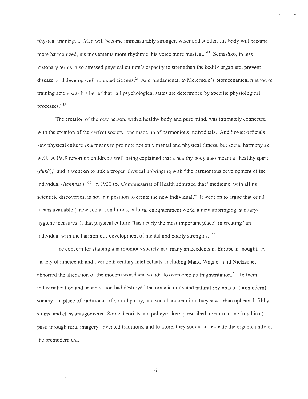physical training.... Man will become immeasurably stronger, wiser and subtler; his body will become more harmonized, his movements more rhythmic, his voice more musical."<sup>23</sup> Semashko, in less visionary terms, also stressed physical culture's capacity to strengthen the bodily organism, preven t disease, and develop well-rounded citizens.<sup>24</sup> And fundamental to Meierhold's biomechanical method of training actors was his belief that "all psychological states are determined by specific physiologica <sup>l</sup> processes."25

The creation of the new person, with a healthy body and pure mind, was intimately connected with the creation of the perfect society, one made up of harmonious individuals. And Soviet officials saw physical culture as a means to promote not only mental and physical fitness, but social harmony as well. A 1919 report on children's well-being explained that a healthy body also meant a "healthy spirit" *(dukh)*," and it went on to link a proper physical upbringing with "the harmonious development of the individual *(lichnost')."26* In I920 the Commissariat of Health admitted that "medicine, with all its scientific discoveries, is not in a position to create the new individual." It went on to argue that of all means available ("new social conditions, cultural enlightenment work, a new upbringing, sanitary hygiene measures"), that physical culture "has nearly the most important place" in creating "an individual with the harmonious development of mental and bodily strengths. "27

The concern for shaping a harmonious society had many antecedents in European thought. A vaniety of nineteenth and twentieth century intellectuals, including Marx, Wagner, and Nietzsche , abhorred the alienation of the modern world and sought to overcome its fragmentation.<sup>28</sup> To them, industrialization and urbanization had destroyed the organic unity and natural rhythms of (premodern) society. In place of traditional life, rural purity, and social cooperation, they saw urban upheaval, filthy slums, and class antagonisms. Some theorists and policymakers prescribed a return to the (mythical) past; through rural imagery, invented traditions, and folklore, they sought to recreate the organic unity of the premodern era.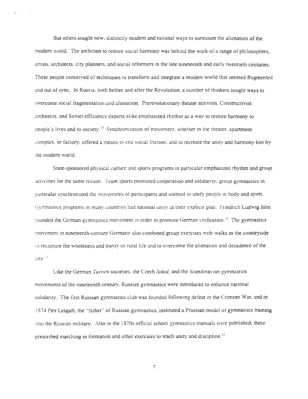But others sought new, distinctly modern and rational ways to surmount the alienation of the modern world. The ambition to restore social harmony was behind the work of a range of philosophers, artists, architects, city planners, and social reformers in the late nineteenth and early twentieth centuries . These people conceived of techniques to transform and integrate a modern world that seemed fragmented and out of sync. In Russia, both before and after the Revolution, a number of thinkers sought ways to overcome social fragmentation and alienation . Prerevolutionary theater activists. Constructivist architects, and Soviet efficiency experts alike emphasized rhythm as a way to restore harmony to people's lives and to society.<sup>29</sup> Synchronization of movement, whether in the theater, apartment complex, or factory, offered a means to end social friction, and to recreate the unity and harmony lost by the modern world.

State-sponsored physical culture and sports programs in particular emphasized rhythm and group activities for the same reason. Team sports promoted cooperation and solidarity; group gymnastics in particular synchronized the movements of participants and seemed to unify people in body and spirit. Gymnastics programs in many countries had national unity as their explicit goal. Friedrich Ludwig Jahn founded the German gymnastics movement in order to promote German unification.<sup>30</sup> The gymnastics movement in nineteenth-century Germany also combined group exercises with walks in the countryside to recapture the wholeness and purity of rural life and to overcome the alienation and decadence of the  $\text{city.}^{\mathbb{N}}$ 

Like the German *Turnen* societies, the Czech *Sokol*, and the Scandinavian gymnastics movements of the nineteenth century, Russian gymnastics were introduced to enhance nationa <sup>l</sup> solidarity. The first Russian gymnastics club was founded following defeat in the Crimean War, and in 1874 Petr Lesgaft, the "father" of Russian gymnastics, instituted a Prussian model of gymnastics training into the Russian military. Also in the 1870s official school gymnastics manuals were published; these prescribed marching in formation and other exercises to teach unity and discipline.<sup>32</sup>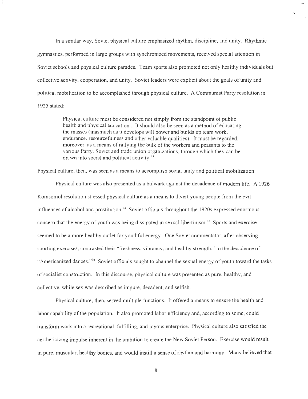In a similar way, Soviet physical culture emphasized rhythm, discipline, and unity. Rhythmic gymnastics, performed in large groups with synchronized movements, received special attention in Soviet schools and physical culture parades. Team sports also promoted not only healthy individuals but collective activity, cooperation, and unity. Soviet leaders were explicit about the goals of unity and political mobilization to be accomplished through physical culture. A Communist Party resolution in 1925 stated:

> Physical culture must be considered not simply from the standpoint of public health and physical education... It should also be seen as a method of educating the masses (inasmuch as it deyelops will power and builds up team work , endurance, resourcefulness and other valuable qualities). It must be regarded, moreover, as a means of rallying the bulk of the workers and peasants to the various Party. Soviet and trade union organizations, through which they can be drawn into social and political activity. $33$

Physical culture, then, was seen as a means to accomplish social unity and political mobilization.

Physical culture was also presented as a bulwark against the decadence of modern life. A 1926 Komsomol resolution stressed physical culture as a means to divert young people from the evil influences of alcohol and prostitution.<sup>34</sup> Soviet officials throughout the 1920s expressed enormous concern that the energy of youth was being dissipated in sexual libertinism.<sup>35</sup> Sports and exercise seemed to be a more healthy outlet for youthful energy. One Soviet commentator, after observing sporting exercises, contrasted their "freshness, vibrancy, and healthy strength," to the decadence of "Americanized dances."<sup>36</sup> Soviet officials sought to channel the sexual energy of youth toward the tasks of socialist construction. In this discourse, physical culture was presented as pure, healthy, an d collective, while sex was described as impure . decadent, and selfish.

Physical culture, then, served multiple functions . It offered a means to ensure the health and labor capability of the population. It also promoted labor efficiency and, according to some, could transform work into a recreational, fulfilling, and joyous enterprise. Physical culture also satisfied the aestheticizing impulse inherent in the ambition to create the New Soviet Person. Exercise would result in pure, muscular, healthy bodies, and would instill a sense of rhythm and harmony . Many believed that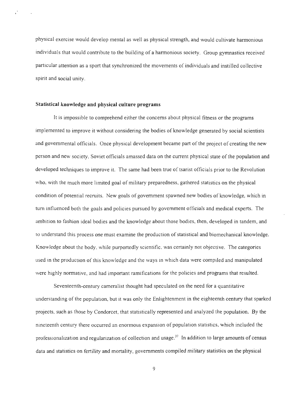physical exercise would develop mental as well as physical strength, and would cultivate harmonious individuals that would contribute to the building of a harmonious society. Group gymnastics received particular attention as a sport that synchronized the movements of individuals and instilled collective spirit and social unity.

#### **Statistical knowledge and physical culture programs**

It is impossible to comprehend either the concerns about physical fitness or the programs implemented to improve it without considering the bodies of knowledge generated by social scientists and governmental officials. Once physical development became part of the project of creating the new person and new society, Soviet officials amassed data on the current physical state of the population and developed techniques to improve it. The same had been true of tsarist officials prior to the Revolution who, with the much more limited goal of military preparedness, gathered statistics on the physical condition of potential recruits. New goals of government spawned new bodies of knowledge, which in turn influenced both the goals and policies pursued by goyernment officials and medical experts. The ambition to fashion ideal bodies and the knowledge about those bodies, then, developed in tandem, and to understand this process one must examine the production of statistical and biomechanical knowledge . Knowledge about the body, while purportedly scientific, was certainly not objective. The categories used in the production of this knowledge and the ways in which data were compiled and manipulated were highly normative, and had important ramifications for the policies and programs that resulted.

Seventeenth-century cameralist thought had speculated on the need for a quantitative understanding of the population, but it was only the Enlightenment in the eighteenth century that sparked projects, such as those by Condorcet, that statistically represented and analyzed the population. By the nineteenth century there occurred an enormous expansion of population statistics, which included the professionalization and regularization of collection and usage.<sup>37</sup> In addition to large amounts of census data and statistics on fertility and mortality, governments compiled military statistics on the physical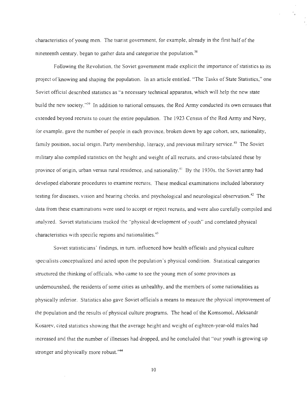characteristics of young men. The tsarist government, for example, already in the first half of the nineteenth century, began to gather data and categorize the population.<sup>38</sup>

Following the Revolution, the Soviet goyernment made explicit the importance of statistics to its project of knowing and shaping the population. In an article entitled. "The Tasks of State Statistics." one Soviet official described statistics as "a necessary technical apparatus, which will help the new state build the new society."<sup>39</sup> In addition to national censuses, the Red Army conducted its own censuses that extended beyond recruits to count the entire population. The 1923 Census of the Red Army and Navy, for example, gave the number of people in each province, broken down by age cohort, sex, nationality, family position, social origin, Party membership, literacy, and previous military service.<sup>40</sup> The Soviet military also compiled statistics on the height and weight of all recruits, and cross-tabulated these by province of origin, urban versus rural residence, and nationality.<sup>41</sup> By the 1930s, the Soviet army had developed elaborate procedures to examine recruits. These medical examinations included laboratory testing for diseases, vision and hearing checks, and psychological and neurological observation.<sup>42</sup> The data from these examinations were used to accept or reject recruits, and were also carefully compiled and analyzed. Soviet statisticians tracked the "physical development of youth" and correlated physical characteristics with specific regions and nationalities. $43$ 

Soviet statisticians' findings, in turn, influenced how health officials and physical culture specialists conceptualized and acted upon the population's physical condition. Statistical categories structured the thinking of officials, who came to see the young men of some provinces as undernourished, the residents of some cities as unhealthy, and the members of some nationalities as physically inferior. Statistics also gave Soviet officials a means to measure the physical improvement of the population and the results of physical culture programs. The head of the Komsomol, Aleksandr Kosarev, cited statistics showing that the average height and weight of eighteen-year-old males had increased and that the number of illnesses had dropped, and he concluded that "our youth is growing up stronger and physically more robust."<sup>44</sup>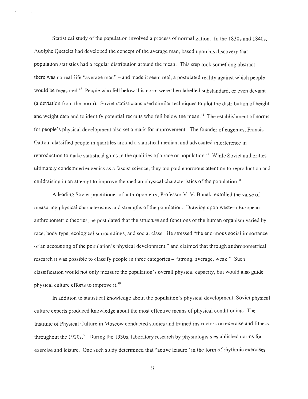Statistical study of the population involved a process of normalization . In the 1830s and 1840s, Adolphe Quetelet had developed the concept of the average man, based upon his discovery that population statistics had a regular distribution around the mean. This step took something abstract  $\overline{\phantom{a}}$ there was no real-life "average man" — and made it seem real, a postulated reality against which people would be measured.<sup>45</sup> People who fell below this norm were then labelled substandard, or even deviant (a deviation from the norm). Soviet statisticians used similar techniques to plot the distribution of height and weight data and to identify potential recruits who fell below the mean.<sup>46</sup> The establishment of norms for people's physical development also set a mark for improvement. The founder of eugenics, Francis Galton, classified people in quartiles around a statistical median, and advocated interference in reproduction to make statistical gains in the qualities of a race or population.<sup> $47$ </sup> While Soviet authorities ultimately condemned eugenics as a fascist science, they too paid enormous attention to reproduction and childraising in an attempt to improve the median physical characteristics of the population.<sup>48</sup>

A leading Soviet practitioner of anthropometry, Professor V. V. Bunak, extolled the value of measuring physical characteristics and strengths of the population. Drawing upon western European anthropometric theories, he postulated that the structure and functions of the human organism varied by race, body type, ecological surroundings, and social class. He stressed "the enormous social importance of an accounting of the population's physical development," and claimed that through anthropometrica <sup>l</sup> research it was possible to classify people in three categories - "strong, average, weak." Such classification would not only measure the population's overall physical capacity, but would also guide physical culture efforts to improve it.<sup>49</sup>

In addition to statistical knowledge about the population's physical development, Soviet physical culture experts produced knowledge about the most effective means of physical conditioning. The Institute of Physical Culture in Moscow conducted studies and trained instructors on exercise and fitness throughout the 1920s.<sup>50</sup> During the 1930s, laboratory research by physiologists established norms for exercise and leisure. One such study determined that "active leisure" in the form of rhythmic exercises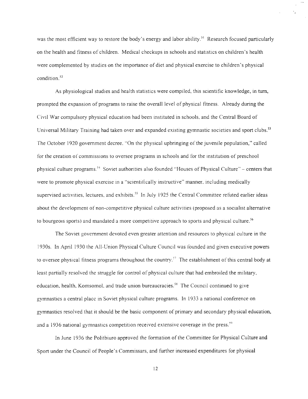was the most efficient way to restore the body's energy and labor ability.<sup>51</sup> Research focused particularly on the health and fitness of children. Medical checkups in schools and statistics on children's health were complemented by studies on the importance of diet and physical exercise to children's physica <sup>l</sup> condition. $52$ 

As physiological studies and health statistics were compiled, this scientific knowledge, in turn, prompted the expansion of programs to raise the overall leyel of physical fitness. Already during the Civil War compulsory physical education had been instituted in schools, and the Central Board of Universal Military Training had taken over and expanded existing gymnastic societies and sport clubs.<sup>53</sup> The October 1920 government decree, "On the physical upbringing of the juvenile population," called for the creation of commissions to oversee programs in schools and for the institution of preschool physical culture programs.<sup>54</sup> Soviet authorities also founded "Houses of Physical Culture" – centers that were to promote physical exercise in a "scientifically instructive" manner, including medically supervised activities, lectures, and exhibits.<sup>55</sup> In July 1925 the Central Committee refuted earlier ideas about the development of non-competitive physical culture activities (proposed as a socialist alternative to bourgeois sports) and mandated a more competitive approach to sports and physical culture.<sup>56</sup>

The Soviet government devoted even greater attention and resources to physical culture in the 1930s . In April 1930 the All-Union Physical Culture Council was founded and given executive powers to oversee physical fitness programs throughout the country.<sup>57</sup> The establishment of this central body at least partially resolved the struggle for control of physical culture that had embroiled the military , education, health, Komsomol, and trade union bureaucracies.<sup>58</sup> The Council continued to give gymnastics a central place in Soviet physical culture programs. In 1933 a national conference on gymnastics resolved that it should be the basic component of primary and secondary physical education, and a 1936 national gymnastics competition received extensive coverage in the press.<sup>59</sup>

In June 1936 the Politbiuro approved the formation of the Committee for Physical Culture and Sport under the Council of People's Commissars, and further increased expenditures for physical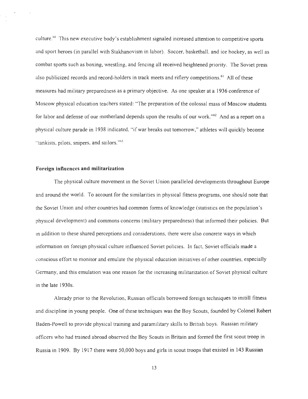culture.<sup>60</sup> This new executive body's establishment signaled increased attention to competitive sports and sport heroes (in parallel with Stakhanovism in labor). Soccer, basketball, and ice hockey, as well as combat sports such as boxing, wrestling, and fencing all received heightened priority. The Soviet press also publicized records and record-holders in track meets and riflery competitions.<sup>61</sup> All of these measures had military preparedness as a primary objective. As one speaker at a 1936 conference of Moscow physical education teachers stated: "The preparation of the colossal mass of Moscow students for labor and defense of our motherland depends upon the results of our work."<sup>62</sup> And as a report on a physical culture parade in 1938 indicated, "if war breaks out tomorrow," athletes will quickly become "tankists, pilots, snipers, and sailors."<sup>63</sup>

#### **Foreign influences and militarization**

The physical culture movement in the Soviet Union paralleled developments throughout Europe and around the world. To account for the similarities in physical fitness programs, one should note that the Soviet Union and other countries had common forms of knowledge (statistics on the population's physical development) and commons concerns (military preparedness) that informed their policies . But in addition to these shared perceptions and considerations, there were also concrete ways in which information on foreign physical culture influenced Soviet policies . In fact, Soviet officials made a conscious effort to monitor and emulate the physical education initiatives of other countries, especially Germany, and this emulation was one reason for the increasing militarization of Soviet physical culture in the late 1930s.

Already prior to the Revolution, Russian officials borrowed foreign techniques to instill fitness and discipline in young people. One of these techniques was the Boy Scouts, founded by Colonel Robert Baden-Powell to provide physical training and panamilitary skills to British boys . Russian military officers who had trained abroad observed the Boy Scouts in Britain and formed the first scout troop in Russia in 1909. By 1917 there were 50,000 boys and girls in scout troops that existed in 143 Russian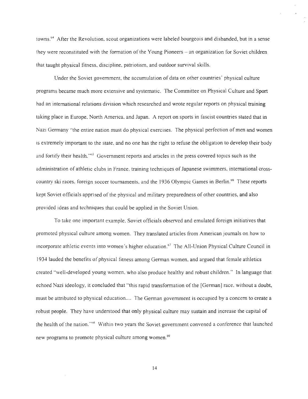towns.<sup>64</sup> After the Revolution, scout organizations were labeled bourgeois and disbanded, but in a sense they were reconstituted with the formation of the Young Pioneers – an organization for Soviet children that taught physical fitness, discipline, patriotism, and outdoor survival skills.

Under the Soviet government, the accumulation of data on other countries' physical culture programs became much more extensiye and systematic . The Committee on Physical Culture and Sport had an international relations division which researched and wrote regular reports on physical training taking place in Europe, North America, and Japan. A report on sports in fascist countries stated that in Nazi Germany "the entire nation must do physical exercises. The physical perfection of men and women is extremely important to the state, and no one has the right to refuse the obligation to develop their body and fortify their health."<sup>63</sup> Government reports and articles in the press covered topics such as the administration of athletic clubs in France, training techniques of Japanese swimmers, international crosscountry ski races, foreign soccer tournaments, and the 1936 Olympic Games in Berlin.<sup>66</sup> These reports kept Soviet officials apprised of the physical and military preparedness of other countries, and also provided ideas and techniques that could be applied in the Soviet Union .

To take one important example. Soviet officials observed and emulated foreign initiatives that promoted physical culture among women. They translated articles from American journals on how to incorporate athletic events into women's higher education.<sup>67</sup> The All-Union Physical Culture Council in 1934 lauded the benefits of physical fitness among German women, and argued that female athletics created "well-developed young women, who also produce healthy and robust children." In language that echoed Nazi ideology, it concluded that "this rapid transformation of the [German] race, without a doubt, must be attributed to physical education.... The German government is occupied by a concern to create a robust people. They have understood that only physical culture may sustain and increase the capital of the health of the nation."<sup>68</sup> Within two years the Soviet government convened a conference that launched new programs to promote physical culture among women.<sup>69</sup>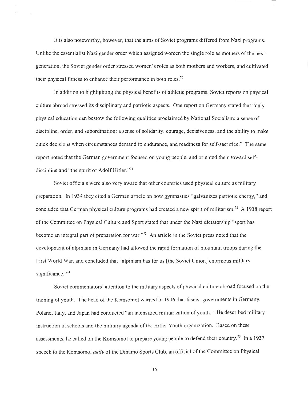It is also noteworthy, however, that the aims of Soviet programs differed from Nazi programs. Unlike the essentialist Nazi gender order which assigned women the single role as mothers of the next generation, the Soviet gender order stressed women's roles as both mothers and workers, and cultivated their physical fitness to enhance their performance in both roles.<sup>70</sup>

In addition to highlighting the physical benefits of athletic programs, Soviet reports on physical culture abroad stressed its disciplinary and patriotic aspects . One report on Germany stated that "only physical education can bestow the following qualities proclaimed by National Socialism: a sense of discipline, order, and subordination; a sense of solidarity, courage, decisiveness, and the ability to make quick decisions when circumstances demand it; endurance, and readiness for self-sacrifice." The same report noted that the German government focused on young people, and oriented them toward selfdiscipline and "the spirit of Adolf Hitler."<sup>71</sup>

Soviet officials were also very aware that other countries used physical culture as military preparation. In 1934 they cited a German article on how gymnastics "galvanizes patriotic energy," and concluded that German physical culture programs had created a new spirit of militarism.<sup>72</sup> A 1938 report of the Committee on Physical Culture and Sport stated that under the Nazi dictatorship "sport has become an integral part of preparation for war."<sup>73</sup> An article in the Soviet press noted that the development of alpinism in Germany had allowed the rapid formation of mountain troops during the First World War, and concluded that "alpinism has fon us [the Soviet Union] enormous military significance."<sup>74</sup>

Soviet commentators' attention to the military aspects of physical culture abroad focused on the training of youth. The head of the Komsomol warned in 1936 that fascist governments in Germany, Poland, Italy, and Japan had conducted "an intensified militarization of youth ." He described military instruction in schools and the military agenda of the Hitler Youth organization. Based on these assessments, he called on the Komsomol to prepare young people to defend their country.<sup>75</sup> In a 1937 speech to the Komsomol *aktiv* of the Dinamo Sports Club, an official of the Committee on Physical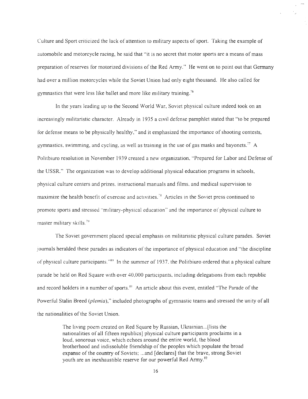Culture and Sport criticized the lack of attention to military aspects of sport. Taking the example of automobile and motorcycle racing, he said that "it is no secret that motor sports are a means of mass preparation of reserves for motorized divisions of the Red Army." He went on to point out that Germany had over a million motorcycles while the Soviet Union had only eight thousand. He also called for gymnastics that were less like ballet and more like military training.<sup>76</sup>

In the years leading up to the Second World War, Soviet physical culture indeed took on an increasingly militaristic character. Already in 1935 a civil defense pamphlet stated that "to be prepared for defense means to be physically healthy," and it emphasized the importance of shooting contests, gymnastics, swimming, and cycling, as well as training in the use of gas masks and bayonets.<sup>77</sup> A Politbiuro resolution in November 1939 created a new organization, "Prepared for Labor and Defense of the USSR." The organization was to develop additional physical education programs in schools, physical culture centers and prizes, instructional manuals and films, and medical supervision to maximize the health benefit of exercise and activities.<sup>3</sup> Articles in the Soviet press continued to promote sponts and stressed "military-physical education " and the importance of physical culture to master military skills.<sup>79</sup>

The Soviet government placed special emphasis on militaristic physical culture parades . Soviet journals heralded these parades as indicators of the importance of physical education and "the discipline" of physical culture participants."<sup>80</sup> In the summer of 1937, the Politbiuro ordered that a physical culture parade be held on Red Square with over 40,000 participants, including delegations from each republic and record holders in a number of sports.<sup>31</sup> An article about this event, entitled "The Parade of the Powerful Stalin Breed (plemia)," included photographs of gymnastic teams and stressed the unity of all the nationalities of the Soviet Union.

> The living poem created on Red Square by Russian, Ukrainian...[lists the nationalities of all fifteen republics] physical culture participants proclaims in a loud, sonorous voice, which echoes around the entire world, the blood brotherhood and indissoluble friendship of the peoples which populate the broad expanse of the country of Soviets; ...and [declares] that the brave, strong Soviet youth are an inexhaustible reserve for our powerful Red Army.<sup>82</sup>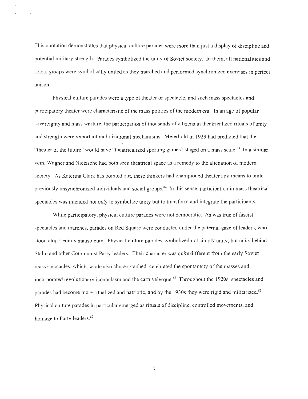This quotation demonstrates that physical culture parades were more than just a display of discipline and potential military strength . Parades symbolized the unity of Soyiet society . In them, all nationalities and social groups were symbolically united as they marched and performed synchronized exercises in perfect unison.

Physical culture parades were a type of theater or spectacle, and such mass spectacles and participatory theater were characteristic of the mass politics of the modern era. In an age of popular sovereignty and mass warfare, the participation of thousands of citizens in theatricalized rituals of unity and strength were important mobilizational mechanisms. Meierhold in 1929 had predicted that the "theater of the future" would have "theatricalized sporting games" staged on a mass scale.<sup>83</sup> In a similar vein, Wagner and Nietzsche had both seen theatrical space as a remedy to the alienation of modern society. As Katerina Clark has pointed out, these thinkers had championed theater as a means to unite previously unsynchronized individuals and social groups.<sup>84</sup> In this sense, participation in mass theatrical spectacles was intended not only to symbolize unity but to transform and integrate the participants.

While participatory, physical culture parades were not democratic. As was true of fascist spectacles and marches, parades on Red Square were conducted under the paternal gaze of leaders, who stood atop Lenin's mausoleum. Physical culture parades symbolized not simply unity, but unity behind Stalin and other Communist Party leaders. Their character was quite different from the early Soviet mass spectacles, which, while also choreographed, celebrated the spontaneity of the masses and incorporated revolutionary iconoclasm and the carnivalesque.<sup>85</sup> Throughout the 1920s, spectacles and parades had become more ritualized and patriotic, and by the 1930s they were rigid and militarized.<sup>86</sup> Physical culture parades in particular emerged as rituals of discipline, controlled movements, and homage to Party leaders.<sup>87</sup>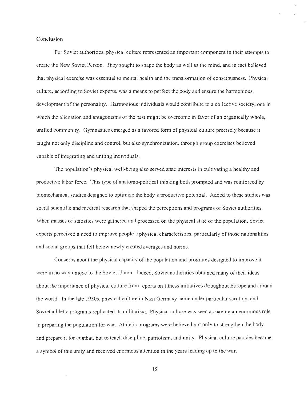#### **Conclusion**

For Soviet authorities, physical culture represented an important component in their attempts to create the New Soviet Person. They sought to shape the body as well as the mind, and in fact believed that physical exercise was essential to mental health and the transformation of consciousness . Physical culture, according to Soviet experts, was a means to perfect the body and ensure the harmonious development of the personality. Harmonious individuals would contribute to a collective society, one in which the alienation and antagonisms of the past might be overcome in favor of an organically whole, unified community. Gymnastics emerged as a favored form of physical culture precisely because it taught not only discipline and control, but also synchronization, through group exercises believed capable of integrating and uniting individuals.

The population's physical well-being also served state interests in cultivating a healthy and productive labor force . This type of anatomo-political thinking both prompted and was reinforced by biomechanical studies designed to optimize the body's productive potential . Added to these studies was social scientific and medical research that shaped the perceptions and programs of Soviet authorities. When masses of statistics were gathered and processed on the physical state of the population, Soviet experts perceived a need to improve people's physical characteristics, particularly of those nationalities and social groups that fell below newly created averages and norms.

Concerns about the physical capacity of the population and programs designed to improve it were in no way unique to the Soviet Union. Indeed, Soviet authorities obtained many of their ideas about the importance of physical culture from reports on fitness initiatives throughout Europe and around the world. In the late 1930s, physical culture in Nazi Germany came under particular scrutiny, and Soviet athletic programs replicated its militarism. Physical culture was seen as having an enormous role in preparing the population for war. Athletic programs were believed not only to strengthen the body and prepare it for combat, but to teach discipline, patriotism, and unity. Physical culture parades became a symbol of this unity and receiyed enormous attention in the years leading up to the war .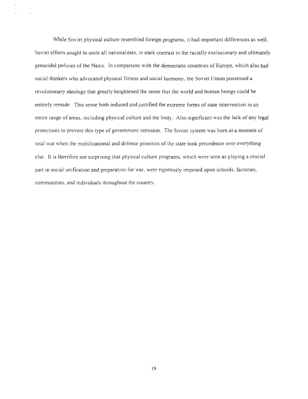While Soviet physical culture resembled foreign programs, it had important differences as well. Soviet efforts sought to unite all nationalities, in stark contrast to the racially exclusionary and ultimately genocidal policies of the Nazis. In comparison with the democratic countries of Europe, which also had social thinkers who advocated physical fitness and social harmony, the Soviet Union possessed a revolutionary ideology that greatly heightened the sense that the world and human beings could be entirely remade. This sense both induced and justified the extreme forms of state intervention in an entire range of areas, including physical culture and the body. Also significant was the lack of any legal protections to prevent this type of government intrusion. The Soviet system was born at a moment of total war when the mobilizational and defense priorities of the state took precedence over everything else. It is therefore not surprising that physical culture programs, which were seen as playing a crucial part in social unification and preparation for war, were rigorously imposed upon schools, factories, communities, and indiyiduals throughout the country .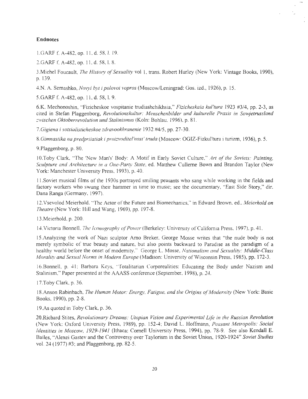#### **Endnotes**

1. GARF f. A-482, op. 11, d. 58, 1. 19.

2. GARF f. A-482, op. 11, d. 58, l. 8.

<sup>3</sup> .Michel Foucault, *The History of Sexuality vol* 1, tnans. Robert Hurley (New York: Vintage Books, 1990), p. 139.

4.N. A. Semashko, *Novyi byt i polovoi vopros* (Moscow/Leningrad: Gos. izd., 1926), p. 15 .

5. GARF f. A-482, op. 11, d. 58, l. 9.

6.K. Mechonoshin, "Fizicheskoe vospitanie trudiashchikhsia," *Fizicheskaia kultura* 1923 #3/4, pp. 2-3, as cited in Stefan Plaggenborg, *Revolutionskultur: Menschenbilder und kulturelle Praxis in Sowjetrussland* zwischen Oktoberrevolution und Stalinismus (Koln: Bohlau, 1996), p. 81.

*<sup>7</sup> .Gigiena i sotsialisticheskoe zdravookhranenie* 1932 #4/5, pp . 27-30.

*<sup>8</sup> .Gimnastika na predpriiatiak i proivoditel 'nost ' truda* (Moscow: OGIZ-Fizkul'tura i turizm, 1936), p . 5 .

9 Plaggenborg, p. 80.

10.Toby Clark, "The 'New Man's' Body: A Motif in Early Soviet Culture," *Art of the Soviets: Painting*, *Sculpture and Architecture in a One-Party State,* ed. Matthew Cullerne Bown and Brandon Taylor (New York: Manchester University Press, 1993), p. 40.

11. Soviet musical films of the 1930s portrayed smiling peasants who sang while working in the fields and factory workers who swung their hammer in time to music; see the documentary, "East Side Story," dir. Dana Ranga (Germany, 1997).

<sup>12</sup> .Vsevolod Meierhold, "The Actor of the Future and Biomechanics, " in Edward Brown . *ed., Meierhold on Theatre* (New York: Hill and Wang, 1969), pp. 197-8.

13. Meierhold. p. 200.

14. Victoria Bonnell, *The Iconography of Power* (Berkeley: University of California Press, 1997), p. 41.

15. Analyzing the work of Nazi sculptor Arno Breker, George Mosse writes that "the nude body is not merely symbolic of true beauty and nature, but also points backward to Paradise as the paradigm of a healthy world before the onset of modernity." George L. Mosse, *Nationalism and Sexuality: Middle-Class Morality and Sexual Norms in Modern Europe* (Madison: University of Wisconsin Press, 1985), pp. 172-3.

16.Bonnell, p. 41; Barbara Keys, "Totalitarian Corporealities: Educating the Body under Nazism and Stalinism," Paper presented at the AAASS conference (September, 1998), p. 24.

17.Toby Clark, p. 36.

18 Anson Rabinbach, *The Human Motor: Energy, Fatigue, and the Origins of Modernity* (New York: Basic Books, 1990), pp. 2-8.

19.As quoted in Toby Clark, p. 36.

20 .Richard Stites, *Revolutionary Dreams: Utopian Vision and Experimental Life in the Russian Revolution* (New York: Oxford University Press, 1989), pp. 152-4; David L. Hoffmann, Peasant Metropolis: Social *Identities in Moscow, 1929-1941* (Ithaca: Cornell University Press, 1994), pp. 78-9. See also Kendall E. Bailes, "Alexei Gastev and the Contnoversy over Taylorism in the Soviet Union, 1920-1924" *Soviet Studies* vol. 24 (1977) #3; and Plaggenborg, pp. 82-5.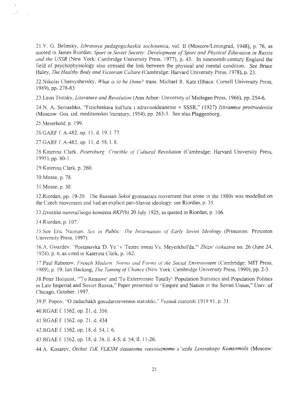<sup>21</sup> .V. G. Belinsky, *Izbrannye pedagogicheskie sochineniia,* yol. II (Moscow/Leningrad, 1948), p. 76, as quoted in James Riordan, *Sport in Soviet Society: Development of Sport and Physical Education in Russia and the USSR* (New York: Cambridge University Press, 1977), p. 43. In nineteenth-century England the field of psychophysiology also stressed the link between the physical and mental condition. See Bruce Haley, *The Healthy Body and Victorian Culture* (Cambridge: Harvard University Press, 1978), p. 23.

22. Nikolai Chernyshevsky, What is to be Done? trans. Michael R. Katz (Ithaca: Cornell University Press, 1989), pp. 278-83.

23 .Leon Trotsky, *Literature and Revolution* (Ann Arbor: University of Michigan Press, 1966), pp . 254-6.

24 .N. A. Semashko, "Fizicheskaia kultura i zdravookhranenie v SSSR," (1927) *Izbrannye proizvedeniia* (Moscow: Gos. izd. meditsinskoi literatury, 1954), pp. 263-5. See also Plaggenborg.

25 .Meierhold, p. 199 .

 $\mathbf{r}$  $\mathcal{L}^{\mathcal{L}}$ 

26. GARF f. A-482, op. 11, d. 19, 1, 77.

27. GARF f. A-482, op. 11, d. 58, l. 8.

<sup>28</sup> .Katerina Clark, *Petersburg: Crucible of Cultural Revolution* (Cambridge: Harvard University Press, 1995), pp. 80-1 .

29 .Katerina Clark, p. 260.

30.Mosse, p. 78 .

31 .Mosse, p. 50 .

32.Riordan, pp. 19-20 . The Russian *Sokol* gymnastics movement that arose in the 1880s was modelled on the Czech movement and had an explicit pan-Slavist ideology; see Riordan, p. 35.

*33 .Izvestiia tsentral'nogo komiteta RKP(b)* 20 July 1925, as quoted in Riordan, p . 106.

34 Riordan, p. 107.

35 .See Enic Naiman . *Sex in Public: The Incarnation of Early Soviet Ideology* (Princeton : Princeton University Press, 1997) .

36 .A. Gvozdev . "Postanovka 'D . Ye.' v 'Teatre imeni Vs. Meyerkhol'da.'" *Zhizn' isskustva* no. 26 (June 24, 1924), p. 6, as cited in Katerina Clark, p.  $162$ .

37.Paul Rabinow. *French Modern: Norms and Forms of the Social Environment* (Cambridge: MIT Press, 1989), p. 59; Ian Hacking, *The Taming of Chance* (New York: Cambridge University Press, 1990), pp. 2-3.

38 Peter Holquist, "To Remove' and 'To Exterminate Totally': Population Statistics and Population Politics jn Late Imperial and Soviet Russia," Paper presented to "Empire and Nation in the Soviet Union," Univ . of Chicago, October, 1997.

39.P. Popov, "O zadachakh gosudarstevennoi statistiki," Vestnik statistiki 1919 #1, p. 31.

40.RGAE f. 1562, op . 21, d. 356.

41 .RGAE f. 1562 . op. 21, d. 434.

42.RGAE f. 1562, op, 18, d. 54, l. 6.

43. RGAE f. 1562, op. 18, d. 38, ll. 4-5; d. 54, ll. 11-26.

44.A. Kosarev, Otchet TsK VLKSM desiatomu vsesoiuznomu s"ezdu Leninskogo Komsomola (Moscow: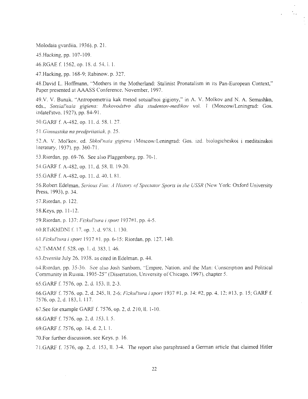Molodaia gvardiia. 1936), p. 21 .

45. Hacking, pp. 107-109.

46. RGAE f. 1562, op. 18, d. 54, l. 1.

47 .Hacking, pp. 168-9; Rabinow, p. 327.

48 .David L. Hoffmann, "Mothers in the Motherland: Stalinist Pronatalism in its Pan-European Context." Paper presented at AAASS Conference, November, 1997.

49 .V. V. Bunak, "Antropometriia kak metod sotsial'noi gigieny," in A. V. Molkov and N. A. Semashko, eds., *Sotsial'naia gigiena: Rukovodstvo dlia studentov-medikov vol.* 1 (Moscow/Leningrad: Gos. izdatel'stvo, 1927), pp. 84-91.

50 .GARF f. A-482, op. 11, d. 58, l. 27.

51 .Gimnastika *na predpriiatiak,* p. *25.*

52 .A. V . Mol'kov. ed. *Shkol'naia gigiena* (Moscow/Leningrad: Gos. izd. biologicheskoi i meditsinsko <sup>i</sup> literatury, 1937), pp. 360-71.

53 .Riordan, pp. 69-76. See also Plaggenborg, pp. 70-1.

54. GARF f. A-482, op. 11, d. 58, 11. 19-20.

55. GARF f. A-482, op. 11. d. 40, 1. 81.

56.Robert Edelman, *Serious Fun: A History of Spectator Sports in the USSR* (New York: Oxford University Press. 1993), p. 34.

57 .Riordan. p. 122 .

58. Keys, pp. 11-12.

59.Riordan. p. 137; Fizkul'tura *i sport* 1937#1, pp. 4-5.

60.RTsKhIDNI f. 17. op. 3, d. 978. 1 . 130.

61 .Fizkul'tura *i snort* 1937 #I . pp . 6-15 : Riordan. pp . 127 . *140.*

62 .TsMAM f. 528, op . 1 . d. 383 . 1 . 46.

*63 .Izvestiia* July 26, 1938 . as cited in Edelman. p. 44.

64.Riordan, pp. 35-36. See also Josh Sanborn, "Empire, Nation, and the Man: Conscription and Political Community in Russia. 1905-25" (Dissertation, University of Chicago, 1997), chapter 5.

65 .GARF f. 7576, op. 2, d. 153, ll. 2-3.

66.GARF f. 7576. op. 2, d. 245, 11 . *2-6: Fizkul'tura i sport* 1937 #1, p . 14: #2, pp. 4, 12 : #13, p. 15 ; GARF f. 7576, op. 2, d. 183, 1. 117 .

67 .See for example GARF f. 7576, op . 2, d. 210, 11 . 1-10 .

68. GARF f. 7576, op. 2, d. 153, l. 5.

69. GARF f. 7576, op. 14, d. 2, l. 1.

70. For further discussion, see Keys, p. 16.

<sup>71</sup> .GARF f. 7576, op . 2, d. 153, 11 . 3-4 . The report also paraphrased a German article that claimed Hitler